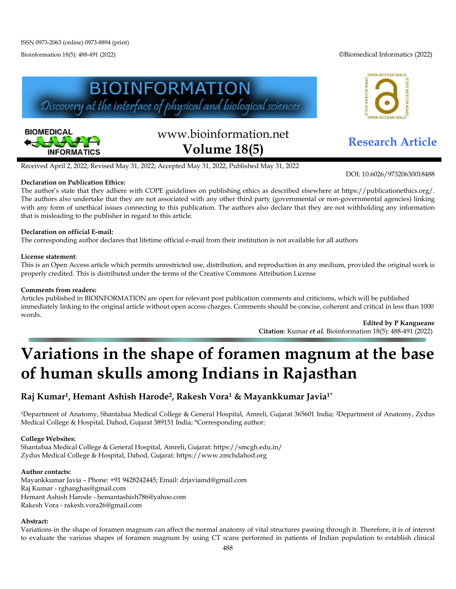Bioinformation 18(5): 488-491 (2022) ©Biomedical Informatics (2022)





# www.bioinformation.net **Research Article Volume 18(5)**

DOI: 10.6026/97320630018488

Received April 2, 2022; Revised May 31, 2022; Accepted May 31, 2022, Published May 31, 2022

## **Declaration on Publication Ethics:**

The author's state that they adhere with COPE guidelines on publishing ethics as described elsewhere at https://publicationethics.org/. The authors also undertake that they are not associated with any other third party (governmental or non-governmental agencies) linking with any form of unethical issues connecting to this publication. The authors also declare that they are not withholding any information that is misleading to the publisher in regard to this article.

## **Declaration on official E-mail:**

The corresponding author declares that lifetime official e-mail from their institution is not available for all authors

### **License statement**:

This is an Open Access article which permits unrestricted use, distribution, and reproduction in any medium, provided the original work is properly credited. This is distributed under the terms of the Creative Commons Attribution License

### **Comments from readers:**

Articles published in BIOINFORMATION are open for relevant post publication comments and criticisms, which will be published immediately linking to the original article without open access charges. Comments should be concise, coherent and critical in less than 1000 words.

**Edited by P Kangueane Citation**: Kumar *et al.* Bioinformation 18(5): 488-491 (2022)

## **Variations in the shape of foramen magnum at the base of human skulls among Indians in Rajasthan**

## **Raj Kumar1, Hemant Ashish Harode2, Rakesh Vora1 & Mayankkumar Javia1\***

1Department of Anatomy, Shantabaa Medical College & General Hospital, Amreli, Gujarat 365601 India; 2Department of Anatomy, Zydus Medical College & Hospital, Dahod, Gujarat 389151 India; \*Corresponding author:

### **College Websites:**

Shantabaa Medical College & General Hospital, Amreli, Gujarat:<https://smcgh.edu.in/> Zydus Medical College & Hospital, Dahod, Gujarat: [https://www.zmchdahod.org](https://www.zmchdahod.org/)

### **Author contacts:**

Mayankkumar Javia – Phone: +91 9428242445; Email: [drjaviamd@gmail.com](mailto:drjaviamd@gmail.com) Raj Kumar - [rghanghas@gmail.com](mailto:rghanghas@gmail.com)  Hemant Ashish Harode - [hemantashish786@yahoo.com](mailto:hemantashish786@yahoo.com)  Rakesh Vora - [rakesh.vora26@gmail.com](mailto:rakesh.vora26@gmail.com)

### **Abstract:**

Variations in the shape of foramen magnum can affect the normal anatomy of vital structures passing through it. Therefore, it is of interest to evaluate the various shapes of foramen magnum by using CT scans performed in patients of Indian population to establish clinical

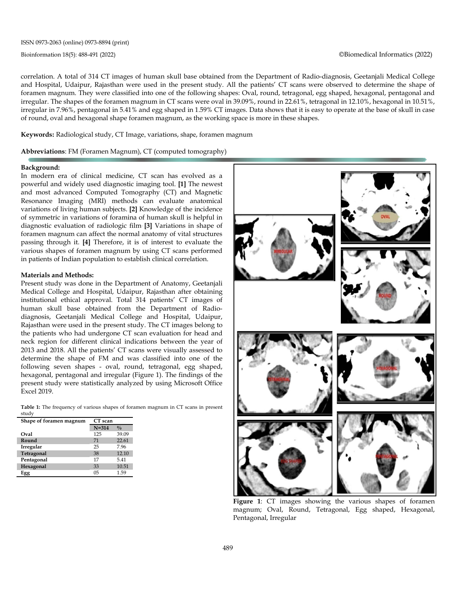correlation. A total of 314 CT images of human skull base obtained from the Department of Radio-diagnosis, Geetanjali Medical College and Hospital, Udaipur, Rajasthan were used in the present study. All the patients' CT scans were observed to determine the shape of foramen magnum. They were classified into one of the following shapes: Oval, round, tetragonal, egg shaped, hexagonal, pentagonal and irregular. The shapes of the foramen magnum in CT scans were oval in 39.09%, round in 22.61%, tetragonal in 12.10%, hexagonal in 10.51%, irregular in 7.96%, pentagonal in 5.41% and egg shaped in 1.59% CT images. Data shows that it is easy to operate at the base of skull in case of round, oval and hexagonal shape foramen magnum, as the working space is more in these shapes.

**Keywords:** Radiological study, CT Image, variations, shape, foramen magnum

**Abbreviations**: FM (Foramen Magnum), CT (computed tomography)

#### **Background:**

In modern era of clinical medicine, CT scan has evolved as a powerful and widely used diagnostic imaging tool. **[1]** The newest and most advanced Computed Tomography (CT) and Magnetic Resonance Imaging (MRI) methods can evaluate anatomical variations of living human subjects. **[2]** Knowledge of the incidence of symmetric in variations of foramina of human skull is helpful in diagnostic evaluation of radiologic film. **[3]** Variations in shape of foramen magnum can affect the normal anatomy of vital structures passing through it. **[4]** Therefore, it is of interest to evaluate the various shapes of foramen magnum by using CT scans performed in patients of Indian population to establish clinical correlation.

#### **Materials and Methods:**

Present study was done in the Department of Anatomy, Geetanjali Medical College and Hospital, Udaipur, Rajasthan after obtaining institutional ethical approval. Total 314 patients' CT images of human skull base obtained from the Department of Radiodiagnosis, Geetanjali Medical College and Hospital, Udaipur, Rajasthan were used in the present study. The CT images belong to the patients who had undergone CT scan evaluation for head and neck region for different clinical indications between the year of 2013 and 2018. All the patients' CT scans were visually assessed to determine the shape of FM and was classified into one of the following seven shapes - oval, round, tetragonal, egg shaped, hexagonal, pentagonal and irregular (Figure 1). The findings of the present study were statistically analyzed by using Microsoft Office Excel 2019.

**Table 1:** The frequency of various shapes of foramen magnum in CT scans in present study

| ouuu,                   |                |               |  |
|-------------------------|----------------|---------------|--|
| Shape of foramen magnum | CT scan        |               |  |
|                         | $N = 314$      | $\frac{0}{0}$ |  |
| Oval                    | 125            | 39.09         |  |
| Round                   | 71             | 22.61         |  |
| Irregular               | 25             | 7.96          |  |
| Tetragonal              | 38             | 12.10         |  |
| Pentagonal              | 17             | 5.41          |  |
| Hexagonal               | 33             | 10.51         |  |
| Egg                     | 0 <sub>5</sub> | 1.59          |  |



**Figure 1**: CT images showing the various shapes of foramen magnum; Oval, Round, Tetragonal, Egg shaped, Hexagonal, Pentagonal, Irregular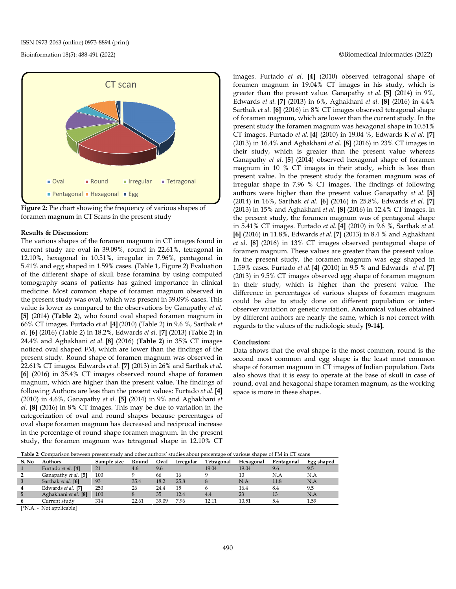



#### **Results & Discussion:**

The various shapes of the foramen magnum in CT images found in current study are oval in 39.09%, round in 22.61%, tetragonal in 12.10%, hexagonal in 10.51%, irregular in 7.96%, pentagonal in 5.41% and egg shaped in 1.59% cases. (Table 1, Figure 2) Evaluation of the different shape of skull base foramina by using computed tomography scans of patients has gained importance in clinical medicine. Most common shape of foramen magnum observed in the present study was oval, which was present in 39.09% cases. This value is lower as compared to the observations by Ganapathy *et al.* **[5]** (2014) (**Table 2**), who found oval shaped foramen magnum in 66% CT images. Furtado *et al.* **[4]** (2010) (Table 2) in 9.6 %, Sarthak *et al.* **[6]** (2016) (Table 2) in 18.2%, Edwards *et al.* **[7]** (2013) (Table 2) in 24.4% and Aghakhani *et al.* **[8]** (2016) (**Table 2**) in 35% CT images noticed oval shaped FM, which are lower than the findings of the present study. Round shape of foramen magnum was observed in 22.61% CT images. Edwards *et al.* **[7]** (2013) in 26% and Sarthak *et al.* **[6]** (2016) in 35.4% CT images observed round shape of foramen magnum, which are higher than the present value. The findings of following Authors are less than the present values: Furtado *et al.* **[4]** (2010) in 4.6%, Ganapathy *et al.* **[5]** (2014) in 9% and Aghakhani *et al.* **[8]** (2016) in 8% CT images. This may be due to variation in the categorization of oval and round shapes because percentages of oval shape foramen magnum has decreased and reciprocal increase in the percentage of round shape foramen magnum. In the present study, the foramen magnum was tetragonal shape in 12.10% CT

images. Furtado *et al.* **[4]** (2010) observed tetragonal shape of foramen magnum in 19.04% CT images in his study, which is greater than the present value. Ganapathy *et al.* **[5]** (2014) in 9%, Edwards *et al.* **[7]** (2013) in 6%, Aghakhani *et al.* **[8]** (2016) in 4.4% Sarthak *et al.* **[6]** (2016) in 8% CT images observed tetragonal shape of foramen magnum, which are lower than the current study. In the present study the foramen magnum was hexagonal shape in 10.51% CT images. Furtado *et al.* **[4]** (2010) in 19.04 %, Edwards K *et al.* **[7]** (2013) in 16.4% and Aghakhani *et al.* **[8]** (2016) in 23% CT images in their study, which is greater than the present value whereas Ganapathy *et al.* **[5]** (2014) observed hexagonal shape of foramen magnum in 10 % CT images in their study, which is less than present value. In the present study the foramen magnum was of irregular shape in 7.96 % CT images. The findings of following authors were higher than the present value: Ganapathy *et al.* **[5]** (2014) in 16%, Sarthak *et al.* **[6]** (2016) in 25.8%, Edwards *et al.* **[7]** (2013) in 15% and Aghakhani *et al.* **[8]** (2016) in 12.4% CT images. In the present study, the foramen magnum was of pentagonal shape in 5.41% CT images. Furtado *et al.* **[4]** (2010) in 9.6 %, Sarthak *et al.* **[6]** (2016) in 11.8%, Edwards *et al.* **[7]** (2013) in 8.4 % and Aghakhani *et al.* **[8]** (2016) in 13% CT images observed pentagonal shape of foramen magnum. These values are greater than the present value. In the present study, the foramen magnum was egg shaped in 1.59% cases. Furtado *et al.* **[4]** (2010) in 9.5 % and Edwards *et al.* **[7]** (2013) in 9.5% CT images observed egg shape of foramen magnum in their study, which is higher than the present value. The difference in percentages of various shapes of foramen magnum could be due to study done on different population or interobserver variation or genetic variation. Anatomical values obtained by different authors are nearly the same, which is not correct with regards to the values of the radiologic study **[9-14].**

#### **Conclusion:**

Data shows that the oval shape is the most common, round is the second most common and egg shape is the least most common shape of foramen magnum in CT images of Indian population. Data also shows that it is easy to operate at the base of skull in case of round, oval and hexagonal shape foramen magnum, as the working space is more in these shapes.

|                                                                            | Table 2: Comparison between present study and other authors' studies about percentage of various shapes of FM in CT scans |  |  |  |                                                                       |  |
|----------------------------------------------------------------------------|---------------------------------------------------------------------------------------------------------------------------|--|--|--|-----------------------------------------------------------------------|--|
| $P_{\text{A}}$ $\mathbf{M}$ = $\mathbf{A}$ and $\mathbf{L}$ = $\mathbf{L}$ |                                                                                                                           |  |  |  | Considered Dessell Onel Locality Telecorrel Hospital Destroyed Paraly |  |

| S. No | <b>Authors</b>       | Sample size | Round | Oval  | Irregular | Tetragonal | Hexagonal | Pentagonal | Egg shaped |
|-------|----------------------|-------------|-------|-------|-----------|------------|-----------|------------|------------|
|       | Furtado et al. [4]   | 21          | 4.6   | 9.6   |           | 19.04      | 19.04     | 9.6        | 9.5        |
|       | Ganapathy et al. [5] | 100         |       | 66    | 16        |            | 10        | N.A        | N.A        |
| 3     | Sarthak et al. [6]   | 93          | 35.4  | 18.2  | 25.8      |            | N.A       | 11.8       | N.A        |
|       | Edwards et al. [7]   | 250         | 26    | 24.4  | 15        |            | 16.4      | 8.4        | 9.5        |
| 5     | Aghakhani et al. [8] | 100         |       | 35    | 12.4      | 4.4        | 23        | 13         | N.A        |
|       | Current studv        | 314         | 22.61 | 39.09 | 7.96      | 12 11      | 10.51     | 5.4        | 1.59       |
|       |                      |             |       |       |           |            |           |            |            |

[\*N.A. - Not applicable]